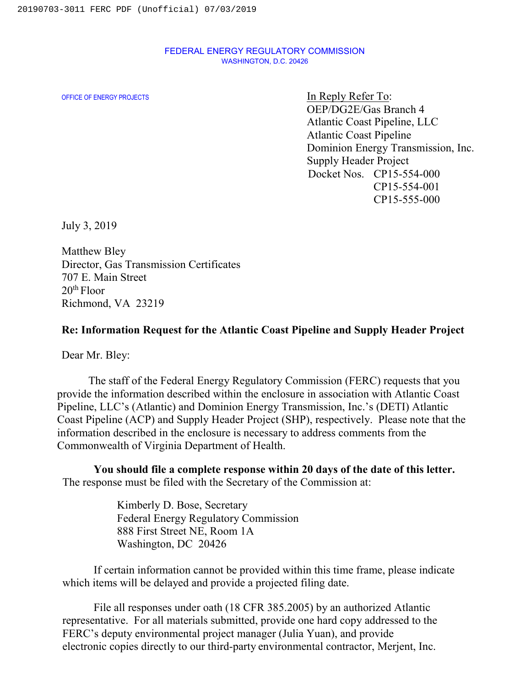## FEDERAL ENERGY REGULATORY COMMISSION WASHINGTON, D.C. 20426

OFFICE OF ENERGY PROJECTS **In Reply Refer To:** OEP/DG2E/Gas Branch 4 Atlantic Coast Pipeline, LLC Atlantic Coast Pipeline Dominion Energy Transmission, Inc. Supply Header Project Docket Nos. CP15-554-000 CP15-554-001 CP15-555-000

July 3, 2019

Matthew Bley Director, Gas Transmission Certificates 707 E. Main Street  $20<sup>th</sup>$  Floor Richmond, VA 23219

## **Re: Information Request for the Atlantic Coast Pipeline and Supply Header Project**

Dear Mr. Bley:

The staff of the Federal Energy Regulatory Commission (FERC) requests that you provide the information described within the enclosure in association with Atlantic Coast Pipeline, LLC's (Atlantic) and Dominion Energy Transmission, Inc.'s (DETI) Atlantic Coast Pipeline (ACP) and Supply Header Project (SHP), respectively. Please note that the information described in the enclosure is necessary to address comments from the Commonwealth of Virginia Department of Health.

**You should file a complete response within 20 days of the date of this letter.** The response must be filed with the Secretary of the Commission at:

> Kimberly D. Bose, Secretary Federal Energy Regulatory Commission 888 First Street NE, Room 1A Washington, DC 20426

If certain information cannot be provided within this time frame, please indicate which items will be delayed and provide a projected filing date.

File all responses under oath (18 CFR 385.2005) by an authorized Atlantic representative. For all materials submitted, provide one hard copy addressed to the FERC's deputy environmental project manager (Julia Yuan), and provide electronic copies directly to our third-party environmental contractor, Merjent, Inc.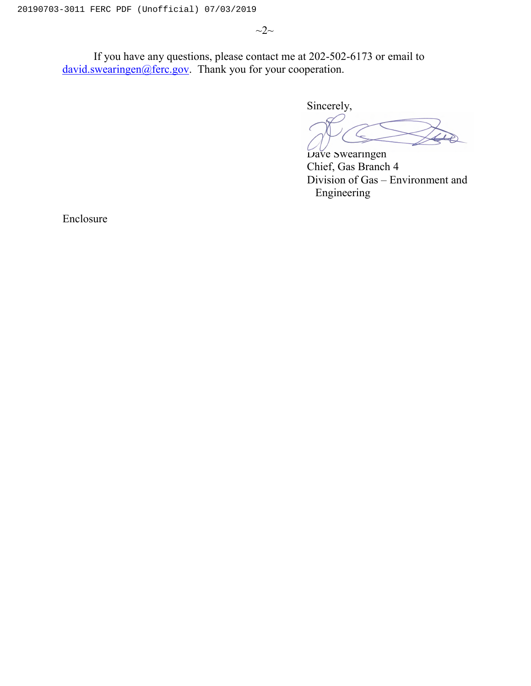$\sim$ 2 $\sim$ 

If you have any questions, please contact me at 202-502-6173 or email to [david.swearingen@ferc.gov.](mailto:david.swearingen@ferc.gov) Thank you for your cooperation.

Sincerely,

Dave Swearingen Chief, Gas Branch 4 Division of Gas – Environment and Engineering

Enclosure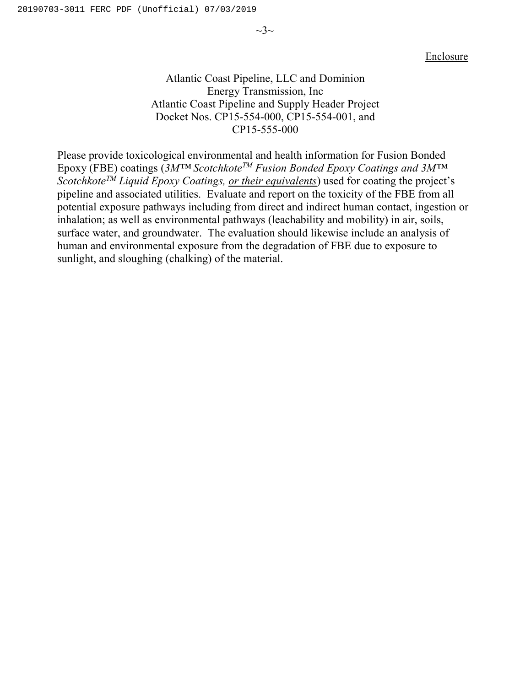$\sim$ 3 $\sim$ 

Enclosure

## Atlantic Coast Pipeline, LLC and Dominion Energy Transmission, Inc Atlantic Coast Pipeline and Supply Header Project Docket Nos. CP15-554-000, CP15-554-001, and CP15-555-000

Please provide toxicological environmental and health information for Fusion Bonded Epoxy (FBE) coatings (*3M™ ScotchkoteTM Fusion Bonded Epoxy Coatings and 3M™ ScotchkoteTM Liquid Epoxy Coatings, or their equivalents*) used for coating the project's pipeline and associated utilities. Evaluate and report on the toxicity of the FBE from all potential exposure pathways including from direct and indirect human contact, ingestion or inhalation; as well as environmental pathways (leachability and mobility) in air, soils, surface water, and groundwater. The evaluation should likewise include an analysis of human and environmental exposure from the degradation of FBE due to exposure to sunlight, and sloughing (chalking) of the material.